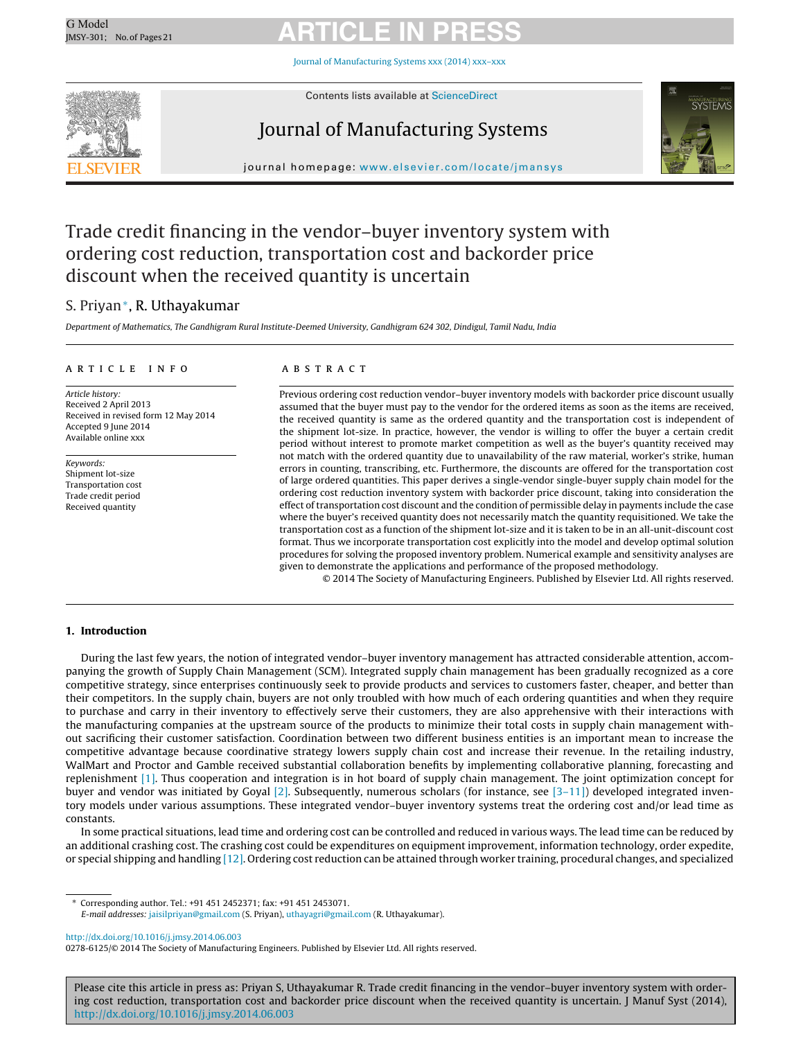## G Model **ARTICLE IN PRESS**

Journal of [Manufacturing](dx.doi.org/10.1016/j.jmsy.2014.06.003) Systems xxx (2014) xxx–xxx



Contents lists available at [ScienceDirect](http://www.sciencedirect.com/science/journal/02786125)

# $J<sub>1</sub>$  of Manufacturing Systems systems of  $J<sub>2</sub>$



journal homepage: [www.elsevier.com/locate/jmansys](http://www.elsevier.com/locate/jmansys)

### Trade credit financing in the vendor–buyer inventory system with ordering cost reduction, transportation cost and backorder price discount when the received quantity is uncertain

#### S. Priyan<sup>∗</sup>, R. Uthayakumar

Department of Mathematics, The Gandhigram Rural Institute-Deemed University, Gandhigram 624 302, Dindigul, Tamil Nadu, India

#### a r t i c l e i n f o

Article history: Received 2 April 2013 Received in revised form 12 May 2014 Accepted 9 June 2014 Available online xxx

Keywords: Shipment lot-size Transportation cost Trade credit period Received quantity

#### A B S T R A C T

Previous ordering cost reduction vendor–buyer inventory models with backorder price discount usually assumed that the buyer must pay to the vendor for the ordered items as soon as the items are received, the received quantity is same as the ordered quantity and the transportation cost is independent of the shipment lot-size. In practice, however, the vendor is willing to offer the buyer a certain credit period without interest to promote market competition as well as the buyer's quantity received may not match with the ordered quantity due to unavailability of the raw material, worker's strike, human errors in counting, transcribing, etc. Furthermore, the discounts are offered for the transportation cost of large ordered quantities. This paper derives a single-vendor single-buyer supply chain model for the ordering cost reduction inventory system with backorder price discount, taking into consideration the effect of transportation cost discount and the condition of permissible delay in payments include the case where the buyer's received quantity does not necessarily match the quantity requisitioned. We take the transportation cost as a function of the shipment lot-size and it is taken to be in an all-unit-discount cost format. Thus we incorporate transportation cost explicitly into the model and develop optimal solution procedures for solving the proposed inventory problem. Numerical example and sensitivity analyses are given to demonstrate the applications and performance of the proposed methodology.

© 2014 The Society of Manufacturing Engineers. Published by Elsevier Ltd. All rights reserved.

#### **1. Introduction**

During the last few years, the notion of integrated vendor–buyer inventory management has attracted considerable attention, accompanying the growth of Supply Chain Management (SCM). Integrated supply chain management has been gradually recognized as a core competitive strategy, since enterprises continuously seek to provide products and services to customers faster, cheaper, and better than their competitors. In the supply chain, buyers are not only troubled with how much of each ordering quantities and when they require to purchase and carry in their inventory to effectively serve their customers, they are also apprehensive with their interactions with the manufacturing companies at the upstream source of the products to minimize their total costs in supply chain management without sacrificing their customer satisfaction. Coordination between two different business entities is an important mean to increase the competitive advantage because coordinative strategy lowers supply chain cost and increase their revenue. In the retailing industry, WalMart and Proctor and Gamble received substantial collaboration benefits by implementing collaborative planning, forecasting and replenishment [\[1\].](#page--1-0) Thus cooperation and integration is in hot board of supply chain management. The joint optimization concept for buyer and vendor was initiated by Goyal [\[2\].](#page--1-0) Subsequently, numerous scholars (for instance, see  $[3-11]$ ) developed integrated inventory models under various assumptions. These integrated vendor–buyer inventory systems treat the ordering cost and/or lead time as constants.

In some practical situations, lead time and ordering cost can be controlled and reduced in various ways. The lead time can be reduced by an additional crashing cost. The crashing cost could be expenditures on equipment improvement, information technology, order expedite, or special shipping and handling [\[12\].](#page--1-0) Ordering cost reduction can be attained through worker training, procedural changes, and specialized

∗ Corresponding author. Tel.: +91 451 2452371; fax: +91 451 2453071.

E-mail addresses: [jaisilpriyan@gmail.com](mailto:jaisilpriyan@gmail.com) (S. Priyan), [uthayagri@gmail.com](mailto:uthayagri@gmail.com) (R. Uthayakumar).

[http://dx.doi.org/10.1016/j.jmsy.2014.06.003](dx.doi.org/10.1016/j.jmsy.2014.06.003)

0278-6125/© 2014 The Society of Manufacturing Engineers. Published by Elsevier Ltd. All rights reserved.

Please cite this article in press as: Priyan S, Uthayakumar R. Trade credit financing in the vendor–buyer inventory system with ordering cost reduction, transportation cost and backorder price discount when the received quantity is uncertain. J Manuf Syst (2014), [http://dx.doi.org/10.1016/j.jmsy.2014.06.003](dx.doi.org/10.1016/j.jmsy.2014.06.003)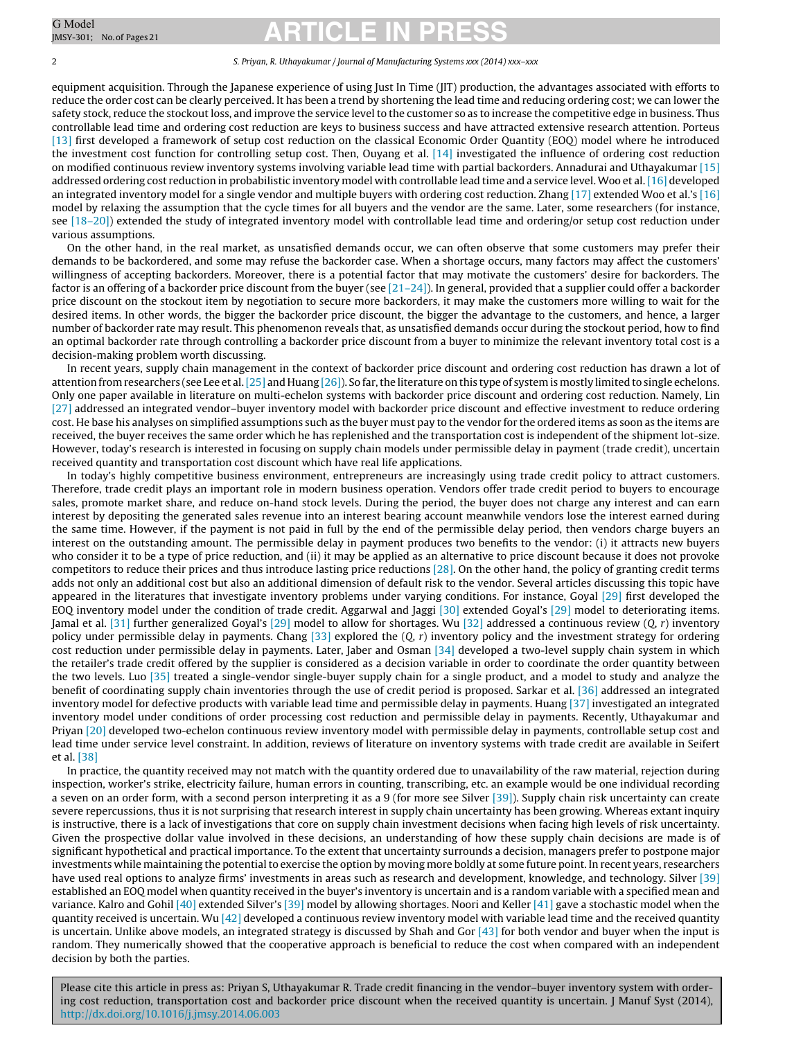## G Model G Model **ARTICLE IN PRESS**

#### 2 S. Priyan, R. Uthayakumar / Journal of Manufacturing Systems xxx (2014) xxx–xxx

equipment acquisition. Through the Japanese experience of using Just In Time (JIT) production, the advantages associated with efforts to reduce the order cost can be clearly perceived. It has been a trend by shortening the lead time and reducing ordering cost; we can lower the safety stock, reduce the stockout loss, and improve the service level to the customer so as to increase the competitive edge in business. Thus controllable lead time and ordering cost reduction are keys to business success and have attracted extensive research attention. Porteus [\[13\]](#page--1-0) first developed a framework of setup cost reduction on the classical Economic Order Quantity (EOQ) model where he introduced the investment cost function for controlling setup cost. Then, Ouyang et al. [\[14\]](#page--1-0) investigated the influence of ordering cost reduction on modified continuous review inventory systems involving variable lead time with partial backorders. Annadurai and Uthayakumar [\[15\]](#page--1-0) addressed ordering cost reduction in probabilistic inventory model with controllable lead time and a service level. Woo et al. [\[16\]](#page--1-0) developed an integrated inventory model for a single vendor and multiple buyers with ordering cost reduction. Zhang [\[17\]](#page--1-0) extended Woo et al.'s [\[16\]](#page--1-0) model by relaxing the assumption that the cycle times for all buyers and the vendor are the same. Later, some researchers (for instance, see [\[18–20\]\)](#page--1-0) extended the study of integrated inventory model with controllable lead time and ordering/or setup cost reduction under various assumptions.

On the other hand, in the real market, as unsatisfied demands occur, we can often observe that some customers may prefer their demands to be backordered, and some may refuse the backorder case. When a shortage occurs, many factors may affect the customers' willingness of accepting backorders. Moreover, there is a potential factor that may motivate the customers' desire for backorders. The factor is an offering of a backorder price discount from the buyer (see  $[21-24]$ ). In general, provided that a supplier could offer a backorder price discount on the stockout item by negotiation to secure more backorders, it may make the customers more willing to wait for the desired items. In other words, the bigger the backorder price discount, the bigger the advantage to the customers, and hence, a larger number of backorder rate may result. This phenomenon reveals that, as unsatisfied demands occur during the stockout period, how to find an optimal backorder rate through controlling a backorder price discount from a buyer to minimize the relevant inventory total cost is a decision-making problem worth discussing.

In recent years, supply chain management in the context of backorder price discount and ordering cost reduction has drawn a lot of attention from researchers (see Lee et al.[\[25\]](#page--1-0) and Huang [\[26\]\).](#page--1-0) So far,the literature on this type of system is mostly limited to single echelons. Only one paper available in literature on multi-echelon systems with backorder price discount and ordering cost reduction. Namely, Lin [\[27\]](#page--1-0) addressed an integrated vendor-buyer inventory model with backorder price discount and effective investment to reduce ordering cost. He base his analyses on simplified assumptions such as the buyer must pay to the vendor for the ordered items as soon as the items are received, the buyer receives the same order which he has replenished and the transportation cost is independent of the shipment lot-size. However, today's research is interested in focusing on supply chain models under permissible delay in payment (trade credit), uncertain received quantity and transportation cost discount which have real life applications.

In today's highly competitive business environment, entrepreneurs are increasingly using trade credit policy to attract customers. Therefore, trade credit plays an important role in modern business operation. Vendors offer trade credit period to buyers to encourage sales, promote market share, and reduce on-hand stock levels. During the period, the buyer does not charge any interest and can earn interest by depositing the generated sales revenue into an interest bearing account meanwhile vendors lose the interest earned during the same time. However, if the payment is not paid in full by the end of the permissible delay period, then vendors charge buyers an interest on the outstanding amount. The permissible delay in payment produces two benefits to the vendor: (i) it attracts new buyers who consider it to be a type of price reduction, and (ii) it may be applied as an alternative to price discount because it does not provoke competitors to reduce their prices and thus introduce lasting price reductions [\[28\].](#page--1-0) On the other hand, the policy of granting credit terms adds not only an additional cost but also an additional dimension of default risk to the vendor. Several articles discussing this topic have appeared in the literatures that investigate inventory problems under varying conditions. For instance, Goyal [\[29\]](#page--1-0) first developed the EOQ inventory model under the condition of trade credit. Aggarwal and Jaggi [\[30\]](#page--1-0) extended Goyal's [\[29\]](#page--1-0) model to deteriorating items. Jamal et al. [\[31\]](#page--1-0) further generalized Goyal's [\[29\]](#page--1-0) model to allow for shortages. Wu [\[32\]](#page--1-0) addressed a continuous review  $(Q, r)$  inventory policy under permissible delay in payments. Chang  $[33]$  explored the  $(Q, r)$  inventory policy and the investment strategy for ordering cost reduction under permissible delay in payments. Later, Jaber and Osman [\[34\]](#page--1-0) developed a two-level supply chain system in which the retailer's trade credit offered by the supplier is considered as a decision variable in order to coordinate the order quantity between the two levels. Luo [\[35\]](#page--1-0) treated a single-vendor single-buyer supply chain for a single product, and a model to study and analyze the benefit of coordinating supply chain inventories through the use of credit period is proposed. Sarkar et al. [\[36\]](#page--1-0) addressed an integrated inventory model for defective products with variable lead time and permissible delay in payments. Huang [\[37\]](#page--1-0) investigated an integrated inventory model under conditions of order processing cost reduction and permissible delay in payments. Recently, Uthayakumar and Priyan [\[20\]](#page--1-0) developed two-echelon continuous review inventory model with permissible delay in payments, controllable setup cost and lead time under service level constraint. In addition, reviews of literature on inventory systems with trade credit are available in Seifert et al. [\[38\]](#page--1-0)

In practice, the quantity received may not match with the quantity ordered due to unavailability of the raw material, rejection during inspection, worker's strike, electricity failure, human errors in counting, transcribing, etc. an example would be one individual recording a seven on an order form, with a second person interpreting it as a 9 (for more see Silver [\[39\]\).](#page--1-0) Supply chain risk uncertainty can create severe repercussions, thus it is not surprising that research interest in supply chain uncertainty has been growing. Whereas extant inquiry is instructive, there is a lack of investigations that core on supply chain investment decisions when facing high levels of risk uncertainty. Given the prospective dollar value involved in these decisions, an understanding of how these supply chain decisions are made is of significant hypothetical and practical importance. To the extent that uncertainty surrounds a decision, managers prefer to postpone major investments while maintaining the potential to exercise the option by moving more boldly at some future point. In recent years, researchers have used real options to analyze firms' investments in areas such as research and development, knowledge, and technology. Silver [\[39\]](#page--1-0) established an EOQ model when quantity received in the buyer's inventory is uncertain and is a random variable with a specified mean and variance. Kalro and Gohil [\[40\]](#page--1-0) extended Silver's [\[39\]](#page--1-0) model by allowing shortages. Noori and Keller [\[41\]](#page--1-0) gave a stochastic model when the quantity received is uncertain. Wu  $[42]$  developed a continuous review inventory model with variable lead time and the received quantity is uncertain. Unlike above models, an integrated strategy is discussed by Shah and Gor  $[43]$  for both vendor and buyer when the input is random. They numerically showed that the cooperative approach is beneficial to reduce the cost when compared with an independent decision by both the parties.

Please cite this article in press as: Priyan S, Uthayakumar R. Trade credit financing in the vendor–buyer inventory system with ordering cost reduction, transportation cost and backorder price discount when the received quantity is uncertain. J Manuf Syst (2014), [http://dx.doi.org/10.1016/j.jmsy.2014.06.003](dx.doi.org/10.1016/j.jmsy.2014.06.003)